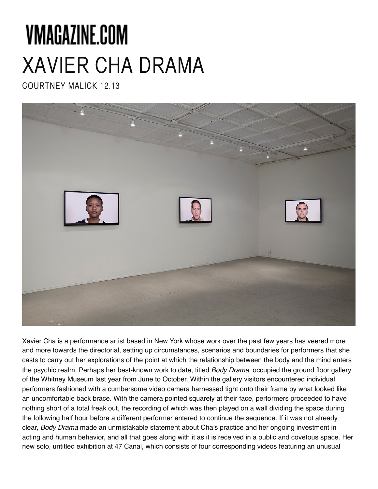# VMAGAZINE.COM XAVIER CHA DRAMA

COURTNEY MALICK 12.13



Xavier Cha is a performance artist based in New York whose work over the past few years has veered more and more towards the directorial, setting up circumstances, scenarios and boundaries for performers that she casts to carry out her explorations of the point at which the relationship between the body and the mind enters the psychic realm. Perhaps her best-known work to date, titled *Body Drama*, occupied the ground floor gallery of the Whitney Museum last year from June to October. Within the gallery visitors encountered individual performers fashioned with a cumbersome video camera harnessed tight onto their frame by what looked like an uncomfortable back brace. With the camera pointed squarely at their face, performers proceeded to have nothing short of a total freak out, the recording of which was then played on a wall dividing the space during the following half hour before a different performer entered to continue the sequence. If it was not already clear, *Body Drama* made an unmistakable statement about Cha's practice and her ongoing investment in acting and human behavior, and all that goes along with it as it is received in a public and covetous space. Her new solo, untitled exhibition at 47 Canal, which consists of four corresponding videos featuring an unusual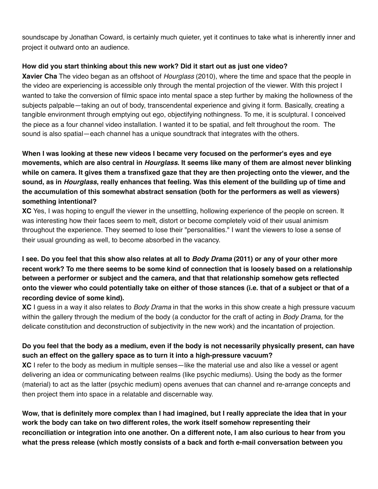soundscape by Jonathan Coward, is certainly much quieter, yet it continues to take what is inherently inner and project it outward onto an audience.

### **How did you start thinking about this new work? Did it start out as just one video?**

**Xavier Cha** The video began as an offshoot of *Hourglass* (2010), where the time and space that the people in the video are experiencing is accessible only through the mental projection of the viewer. With this project I wanted to take the conversion of filmic space into mental space a step further by making the hollowness of the subjects palpable—taking an out of body, transcendental experience and giving it form. Basically, creating a tangible environment through emptying out ego, objectifying nothingness. To me, it is sculptural. I conceived the piece as a four channel video installation. I wanted it to be spatial, and felt throughout the room. The sound is also spatial—each channel has a unique soundtrack that integrates with the others.

**When I was looking at these new videos I became very focused on the performer's eyes and eye movements, which are also central in** *Hourglass***. It seems like many of them are almost never blinking while on camera. It gives them a transfixed gaze that they are then projecting onto the viewer, and the sound, as in** *Hourglass***, really enhances that feeling. Was this element of the building up of time and the accumulation of this somewhat abstract sensation (both for the performers as well as viewers) something intentional?** 

**XC** Yes, I was hoping to engulf the viewer in the unsettling, hollowing experience of the people on screen. It was interesting how their faces seem to melt, distort or become completely void of their usual animism throughout the experience. They seemed to lose their "personalities." I want the viewers to lose a sense of their usual grounding as well, to become absorbed in the vacancy.

**I see. Do you feel that this show also relates at all to** *Body Drama* **(2011) or any of your other more recent work? To me there seems to be some kind of connection that is loosely based on a relationship between a performer or subject and the camera, and that that relationship somehow gets reflected onto the viewer who could potentially take on either of those stances (i.e. that of a subject or that of a recording device of some kind).**

**XC** I guess in a way it also relates to *Body Drama* in that the works in this show create a high pressure vacuum within the gallery through the medium of the body (a conductor for the craft of acting in *Body Drama*, for the delicate constitution and deconstruction of subjectivity in the new work) and the incantation of projection.

## **Do you feel that the body as a medium, even if the body is not necessarily physically present, can have such an effect on the gallery space as to turn it into a high-pressure vacuum?**

**XC** I refer to the body as medium in multiple senses—like the material use and also like a vessel or agent delivering an idea or communicating between realms (like psychic mediums). Using the body as the former (material) to act as the latter (psychic medium) opens avenues that can channel and re-arrange concepts and then project them into space in a relatable and discernable way.

**Wow, that is definitely more complex than I had imagined, but I really appreciate the idea that in your work the body can take on two different roles, the work itself somehow representing their reconciliation or integration into one another. On a different note, I am also curious to hear from you what the press release (which mostly consists of a back and forth e-mail conversation between you**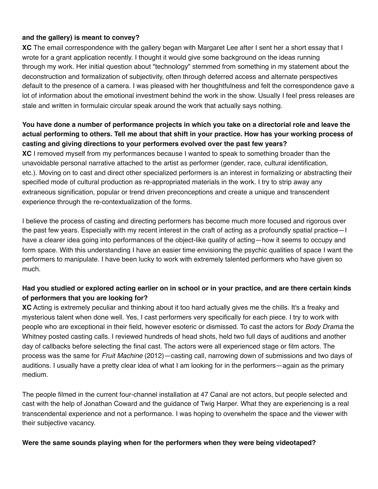## **and the gallery) is meant to convey?**

**XC** The email correspondence with the gallery began with Margaret Lee after I sent her a short essay that I wrote for a grant application recently. I thought it would give some background on the ideas running through my work. Her initial question about "technology" stemmed from something in my statement about the deconstruction and formalization of subjectivity, often through deferred access and alternate perspectives default to the presence of a camera. I was pleased with her thoughtfulness and felt the correspondence gave a lot of information about the emotional investment behind the work in the show. Usually I feel press releases are stale and written in formulaic circular speak around the work that actually says nothing.

# **You have done a number of performance projects in which you take on a directorial role and leave the actual performing to others. Tell me about that shift in your practice. How has your working process of casting and giving directions to your performers evolved over the past few years?**

**XC** I removed myself from my performances because I wanted to speak to something broader than the unavoidable personal narrative attached to the artist as performer (gender, race, cultural identification, etc.). Moving on to cast and direct other specialized performers is an interest in formalizing or abstracting their specified mode of cultural production as re-appropriated materials in the work. I try to strip away any extraneous signification, popular or trend driven preconceptions and create a unique and transcendent experience through the re-contextualization of the forms.

I believe the process of casting and directing performers has become much more focused and rigorous over the past few years. Especially with my recent interest in the craft of acting as a profoundly spatial practice—I have a clearer idea going into performances of the object-like quality of acting—how it seems to occupy and form space. With this understanding I have an easier time envisioning the psychic qualities of space I want the performers to manipulate. I have been lucky to work with extremely talented performers who have given so much.

# **Had you studied or explored acting earlier on in school or in your practice, and are there certain kinds of performers that you are looking for?**

**XC** Acting is extremely peculiar and thinking about it too hard actually gives me the chills. It's a freaky and mysterious talent when done well. Yes, I cast performers very specifically for each piece. I try to work with people who are exceptional in their field, however esoteric or dismissed. To cast the actors for *Body Drama* the Whitney posted casting calls. I reviewed hundreds of head shots, held two full days of auditions and another day of callbacks before selecting the final cast. The actors were all experienced stage or film actors. The process was the same for *Fruit Machine* (2012)—casting call, narrowing down of submissions and two days of auditions. I usually have a pretty clear idea of what I am looking for in the performers—again as the primary medium.

The people filmed in the current four-channel installation at 47 Canal are not actors, but people selected and cast with the help of Jonathan Coward and the guidance of Twig Harper. What they are experiencing is a real transcendental experience and not a performance. I was hoping to overwhelm the space and the viewer with their subjective vacancy.

#### **Were the same sounds playing when for the performers when they were being videotaped?**